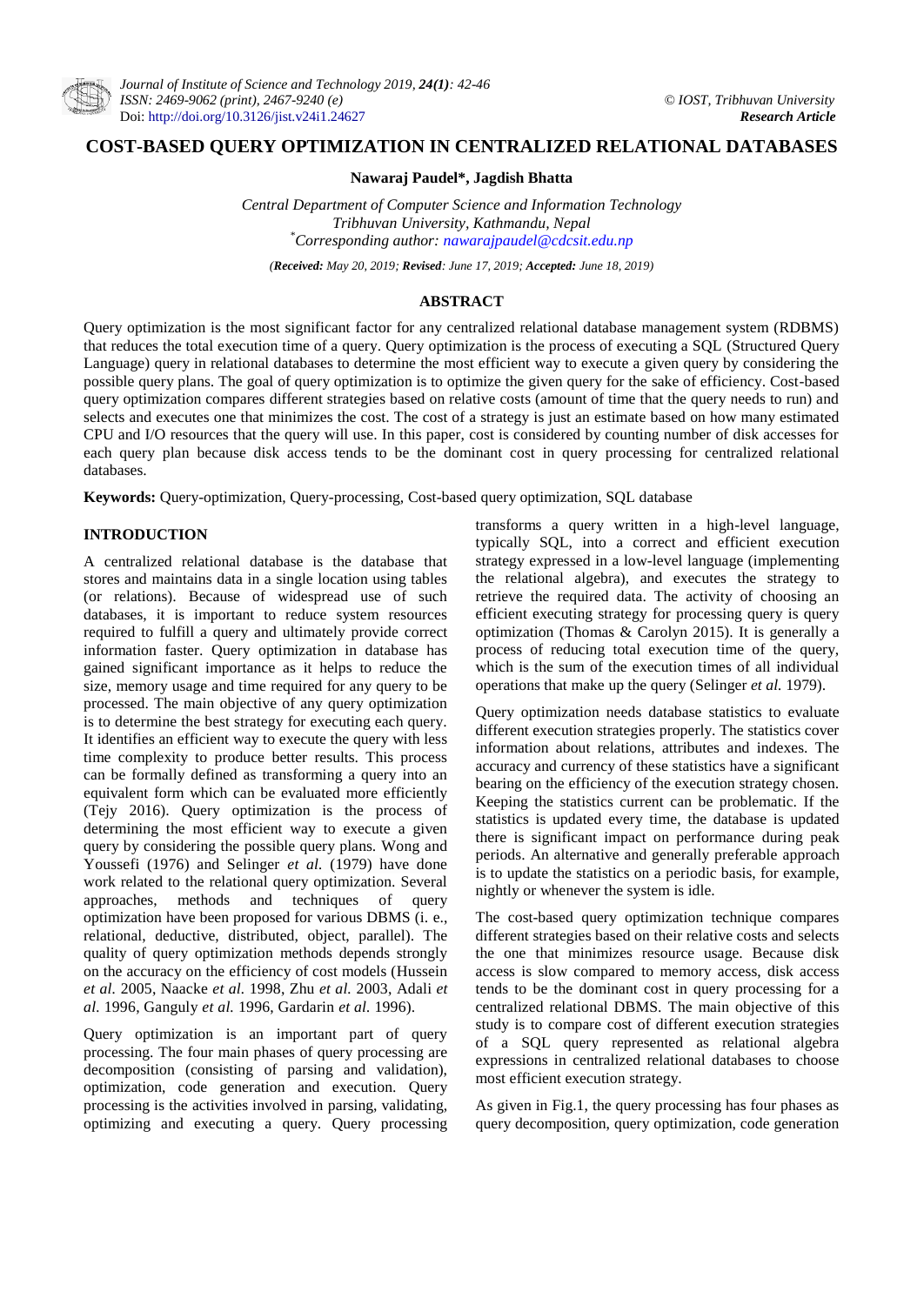

*Journal of Institute of Science and Technology 2019, 24(1): 42-46 ISSN: 2469-9062 (print), 2467-9240 (e)* Doi: http://doi.org/10.3126/jist.v24i1.24627

# **COST-BASED QUERY OPTIMIZATION IN CENTRALIZED RELATIONAL DATABASES**

### **Nawaraj Paudel\*, Jagdish Bhatta**

*Central Department of Computer Science and Information Technology Tribhuvan University, Kathmandu, Nepal \*Corresponding author: [nawarajpaudel@cdcsit.edu.np](mailto:nawarajpaudel@cdcsit.edu.np)*

*(Received: May 20, 2019; Revised: June 17, 2019; Accepted: June 18, 2019)*

# **ABSTRACT**

Query optimization is the most significant factor for any centralized relational database management system (RDBMS) that reduces the total execution time of a query. Query optimization is the process of executing a SQL (Structured Query Language) query in relational databases to determine the most efficient way to execute a given query by considering the possible query plans. The goal of query optimization is to optimize the given query for the sake of efficiency. Cost-based query optimization compares different strategies based on relative costs (amount of time that the query needs to run) and selects and executes one that minimizes the cost. The cost of a strategy is just an estimate based on how many estimated CPU and I/O resources that the query will use. In this paper, cost is considered by counting number of disk accesses for each query plan because disk access tends to be the dominant cost in query processing for centralized relational databases.

**Keywords:** Query-optimization, Query-processing, Cost-based query optimization, SQL database

# **INTRODUCTION**

A centralized relational database is the database that stores and maintains data in a single location using tables (or relations). Because of widespread use of such databases, it is important to reduce system resources required to fulfill a query and ultimately provide correct information faster. Query optimization in database has gained significant importance as it helps to reduce the size, memory usage and time required for any query to be processed. The main objective of any query optimization is to determine the best strategy for executing each query. It identifies an efficient way to execute the query with less time complexity to produce better results. This process can be formally defined as transforming a query into an equivalent form which can be evaluated more efficiently (Tejy 2016). Query optimization is the process of determining the most efficient way to execute a given query by considering the possible query plans. Wong and Youssefi (1976) and Selinger *et al.* (1979) have done work related to the relational query optimization. Several approaches, methods and techniques of query optimization have been proposed for various DBMS (i. e., relational, deductive, distributed, object, parallel). The quality of query optimization methods depends strongly on the accuracy on the efficiency of cost models (Hussein *et al.* 2005, Naacke *et al.* 1998, Zhu *et al.* 2003, Adali *et al.* 1996, Ganguly *et al.* 1996, Gardarin *et al.* 1996).

Query optimization is an important part of query processing. The four main phases of query processing are decomposition (consisting of parsing and validation), optimization, code generation and execution. Query processing is the activities involved in parsing, validating, optimizing and executing a query. Query processing

transforms a query written in a high-level language, typically SQL, into a correct and efficient execution strategy expressed in a low-level language (implementing the relational algebra), and executes the strategy to retrieve the required data. The activity of choosing an efficient executing strategy for processing query is query optimization (Thomas & Carolyn 2015). It is generally a process of reducing total execution time of the query, which is the sum of the execution times of all individual operations that make up the query (Selinger *et al.* 1979).

Query optimization needs database statistics to evaluate different execution strategies properly. The statistics cover information about relations, attributes and indexes. The accuracy and currency of these statistics have a significant bearing on the efficiency of the execution strategy chosen. Keeping the statistics current can be problematic. If the statistics is updated every time, the database is updated there is significant impact on performance during peak periods. An alternative and generally preferable approach is to update the statistics on a periodic basis, for example, nightly or whenever the system is idle.

The cost-based query optimization technique compares different strategies based on their relative costs and selects the one that minimizes resource usage. Because disk access is slow compared to memory access, disk access tends to be the dominant cost in query processing for a centralized relational DBMS. The main objective of this study is to compare cost of different execution strategies of a SQL query represented as relational algebra expressions in centralized relational databases to choose most efficient execution strategy.

As given in Fig.1, the query processing has four phases as query decomposition, query optimization, code generation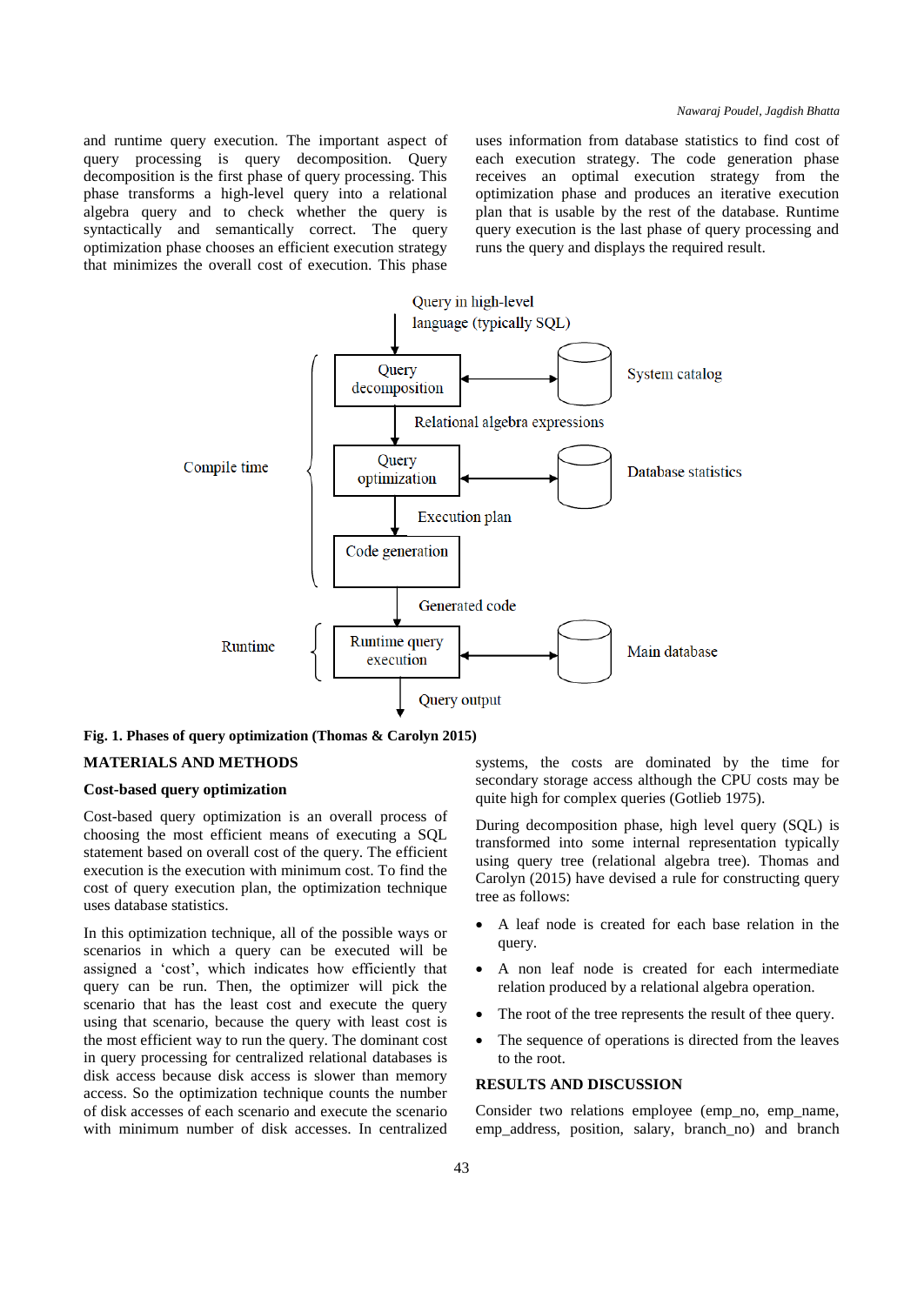and runtime query execution. The important aspect of query processing is query decomposition. Query decomposition is the first phase of query processing. This phase transforms a high-level query into a relational algebra query and to check whether the query is syntactically and semantically correct. The query optimization phase chooses an efficient execution strategy that minimizes the overall cost of execution. This phase uses information from database statistics to find cost of each execution strategy. The code generation phase receives an optimal execution strategy from the optimization phase and produces an iterative execution plan that is usable by the rest of the database. Runtime query execution is the last phase of query processing and runs the query and displays the required result.



**Fig. 1. Phases of query optimization (Thomas & Carolyn 2015)**

# **MATERIALS AND METHODS**

# **Cost-based query optimization**

Cost-based query optimization is an overall process of choosing the most efficient means of executing a SQL statement based on overall cost of the query. The efficient execution is the execution with minimum cost. To find the cost of query execution plan, the optimization technique uses database statistics.

In this optimization technique, all of the possible ways or scenarios in which a query can be executed will be assigned a 'cost', which indicates how efficiently that query can be run. Then, the optimizer will pick the scenario that has the least cost and execute the query using that scenario, because the query with least cost is the most efficient way to run the query. The dominant cost in query processing for centralized relational databases is disk access because disk access is slower than memory access. So the optimization technique counts the number of disk accesses of each scenario and execute the scenario with minimum number of disk accesses. In centralized

systems, the costs are dominated by the time for secondary storage access although the CPU costs may be quite high for complex queries (Gotlieb 1975).

During decomposition phase, high level query (SQL) is transformed into some internal representation typically using query tree (relational algebra tree). Thomas and Carolyn (2015) have devised a rule for constructing query tree as follows:

- A leaf node is created for each base relation in the query.
- A non leaf node is created for each intermediate relation produced by a relational algebra operation.
- The root of the tree represents the result of thee query.
- The sequence of operations is directed from the leaves to the root.

## **RESULTS AND DISCUSSION**

Consider two relations employee (emp\_no, emp\_name, emp\_address, position, salary, branch\_no) and branch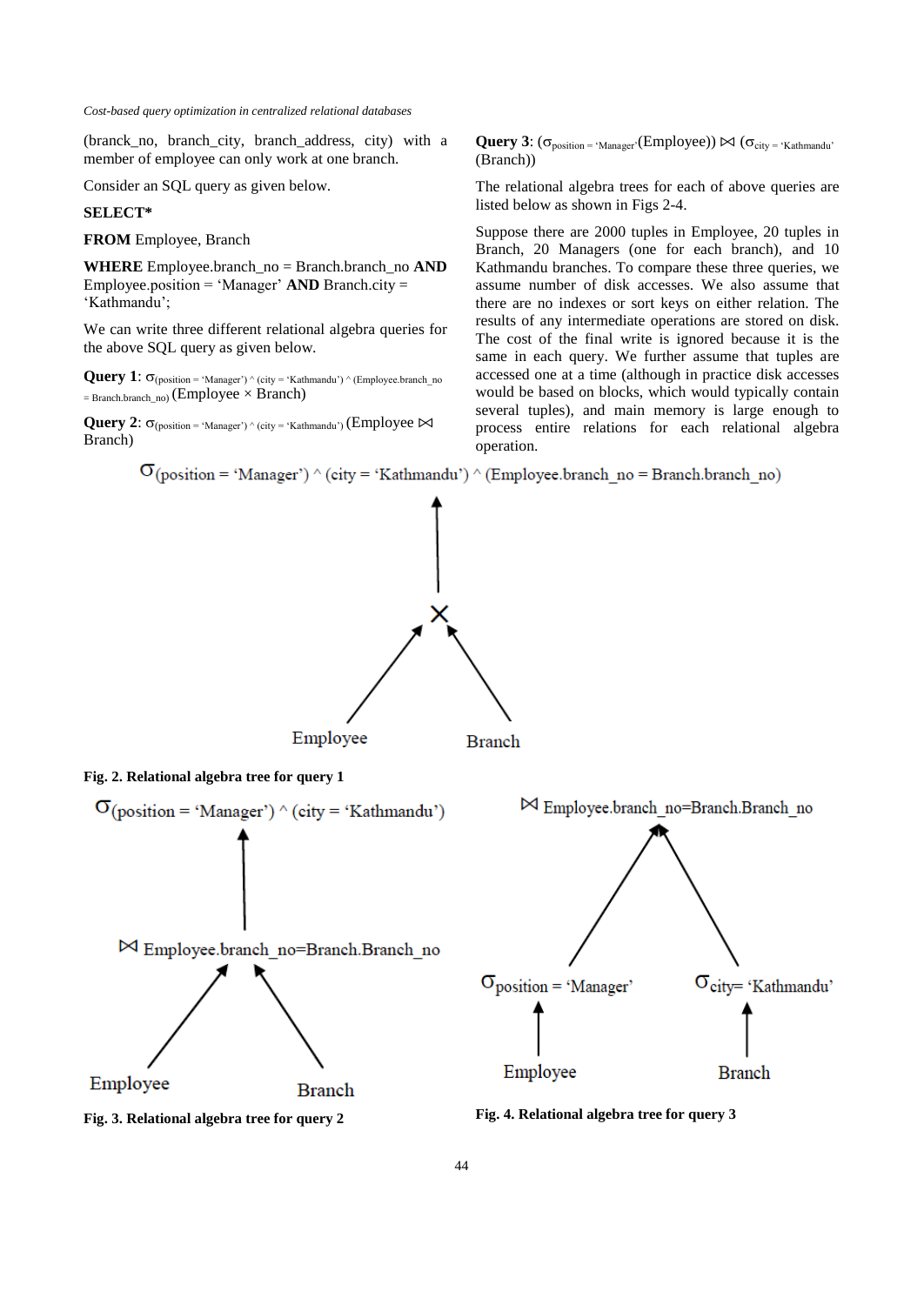*Cost-based query optimization in centralized relational databases*

(branck\_no, branch\_city, branch\_address, city) with a member of employee can only work at one branch.

Consider an SQL query as given below.

**SELECT\***

**FROM** Employee, Branch

**WHERE** Employee.branch\_no = Branch.branch\_no **AND**  Employee.position = 'Manager' **AND** Branch.city = 'Kathmandu';

We can write three different relational algebra queries for the above SQL query as given below.

**Query 1:**  $\sigma$ <sub>(position = 'Manager') ^ (city = 'Kathmandu') ^ (Employee.branch\_no</sub>  $=$  Branch.branch\_no) (Employee  $\times$  Branch)

**Query 2:**  $\sigma$ <sub>(position = 'Manager') ^ (city = 'Kathmandu') (Employee  $\bowtie$ </sub> Branch)

**Query 3:**  $(\sigma_{position} = 'Manager' (Employee)) \bowtie (\sigma_{city} = 'Kathmandu')$ (Branch))

The relational algebra trees for each of above queries are listed below as shown in Figs 2-4.

Suppose there are 2000 tuples in Employee, 20 tuples in Branch, 20 Managers (one for each branch), and 10 Kathmandu branches. To compare these three queries, we assume number of disk accesses. We also assume that there are no indexes or sort keys on either relation. The results of any intermediate operations are stored on disk. The cost of the final write is ignored because it is the same in each query. We further assume that tuples are accessed one at a time (although in practice disk accesses would be based on blocks, which would typically contain several tuples), and main memory is large enough to process entire relations for each relational algebra operation.





**Branch** 



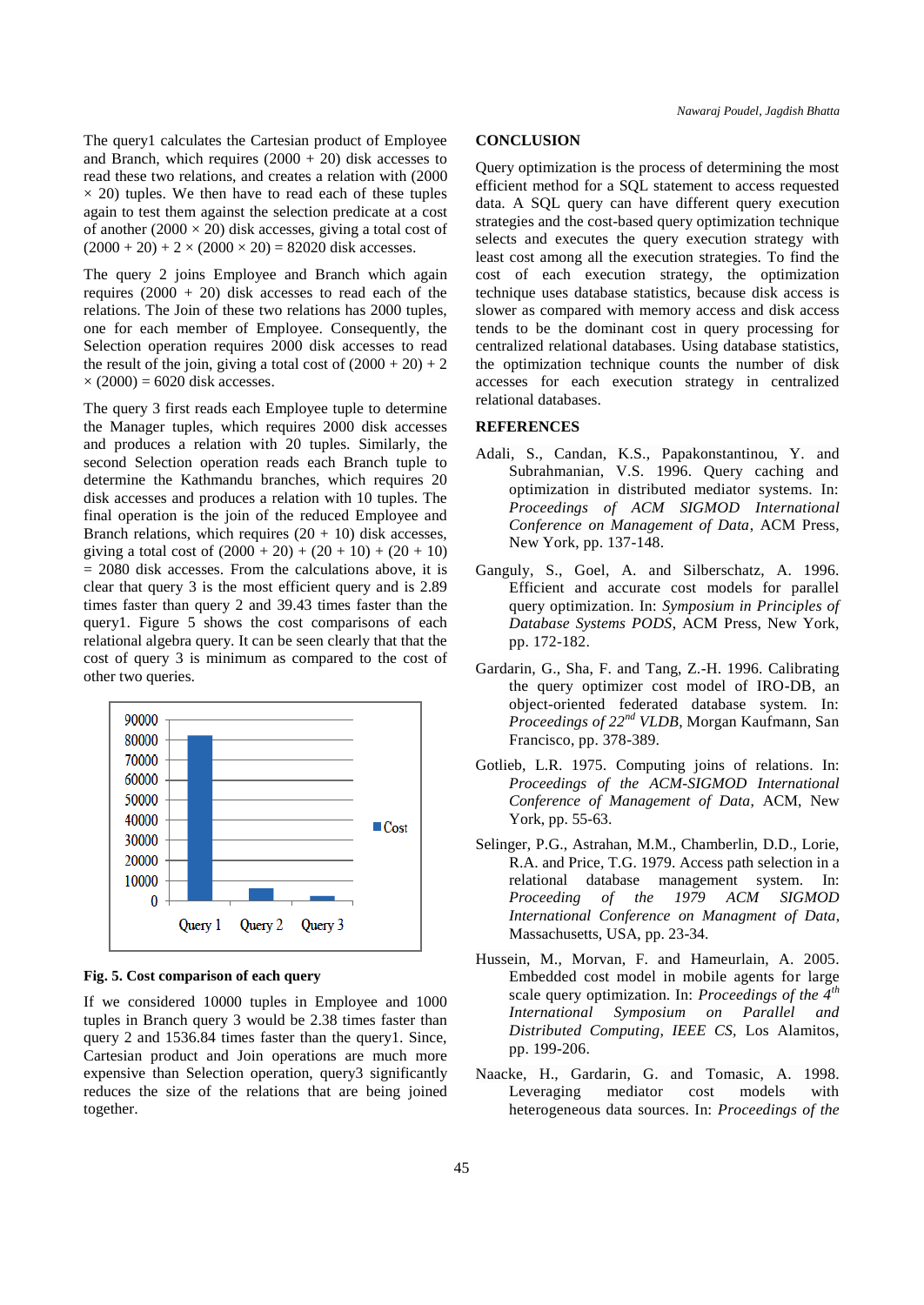The query1 calculates the Cartesian product of Employee and Branch, which requires  $(2000 + 20)$  disk accesses to read these two relations, and creates a relation with (2000  $\times$  20) tuples. We then have to read each of these tuples again to test them against the selection predicate at a cost of another  $(2000 \times 20)$  disk accesses, giving a total cost of  $(2000 + 20) + 2 \times (2000 \times 20) = 82020$  disk accesses.

The query 2 joins Employee and Branch which again requires  $(2000 + 20)$  disk accesses to read each of the relations. The Join of these two relations has 2000 tuples, one for each member of Employee. Consequently, the Selection operation requires 2000 disk accesses to read the result of the join, giving a total cost of  $(2000 + 20) + 2$  $\times$  (2000) = 6020 disk accesses.

The query 3 first reads each Employee tuple to determine the Manager tuples, which requires 2000 disk accesses and produces a relation with 20 tuples. Similarly, the second Selection operation reads each Branch tuple to determine the Kathmandu branches, which requires 20 disk accesses and produces a relation with 10 tuples. The final operation is the join of the reduced Employee and Branch relations, which requires  $(20 + 10)$  disk accesses, giving a total cost of  $(2000 + 20) + (20 + 10) + (20 + 10)$  $= 2080$  disk accesses. From the calculations above, it is clear that query 3 is the most efficient query and is 2.89 times faster than query 2 and 39.43 times faster than the query1. Figure 5 shows the cost comparisons of each relational algebra query. It can be seen clearly that that the cost of query 3 is minimum as compared to the cost of other two queries.



**Fig. 5. Cost comparison of each query**

If we considered 10000 tuples in Employee and 1000 tuples in Branch query 3 would be 2.38 times faster than query 2 and 1536.84 times faster than the query1. Since, Cartesian product and Join operations are much more expensive than Selection operation, query3 significantly reduces the size of the relations that are being joined together.

#### **CONCLUSION**

Query optimization is the process of determining the most efficient method for a SQL statement to access requested data. A SQL query can have different query execution strategies and the cost-based query optimization technique selects and executes the query execution strategy with least cost among all the execution strategies. To find the cost of each execution strategy, the optimization technique uses database statistics, because disk access is slower as compared with memory access and disk access tends to be the dominant cost in query processing for centralized relational databases. Using database statistics, the optimization technique counts the number of disk accesses for each execution strategy in centralized relational databases.

#### **REFERENCES**

- Adali, S., Candan, K.S., Papakonstantinou, Y. and Subrahmanian, V.S. 1996. Query caching and optimization in distributed mediator systems. In: *Proceedings of ACM SIGMOD International Conference on Management of Data*, ACM Press, New York, pp. 137-148.
- Ganguly, S., Goel, A. and Silberschatz, A. 1996. Efficient and accurate cost models for parallel query optimization. In: *Symposium in Principles of Database Systems PODS*, ACM Press, New York, pp. 172-182.
- Gardarin, G., Sha, F. and Tang, Z.-H. 1996. Calibrating the query optimizer cost model of IRO-DB, an object-oriented federated database system. In: *Proceedings of 22nd VLDB*, Morgan Kaufmann, San Francisco, pp. 378-389.
- Gotlieb, L.R. 1975. Computing joins of relations. In: *Proceedings of the ACM-SIGMOD International Conference of Management of Data*, ACM, New York, pp. 55-63.
- Selinger, P.G., Astrahan, M.M., Chamberlin, D.D., Lorie, R.A. and Price, T.G. 1979. Access path selection in a relational database management system. In:<br>Proceeding of the 1979 ACM SIGMOD *Proceeding of the 1979 ACM SIGMOD International Conference on Managment of Data*, Massachusetts, USA, pp. 23-34.
- Hussein, M., Morvan, F. and Hameurlain, A. 2005. Embedded cost model in mobile agents for large scale query optimization. In: *Proceedings of the 4th International Symposium on Parallel and Distributed Computing, IEEE CS,* Los Alamitos, pp. 199-206.
- Naacke, H., Gardarin, G. and Tomasic, A. 1998. Leveraging mediator cost models with heterogeneous data sources. In: *Proceedings of the*